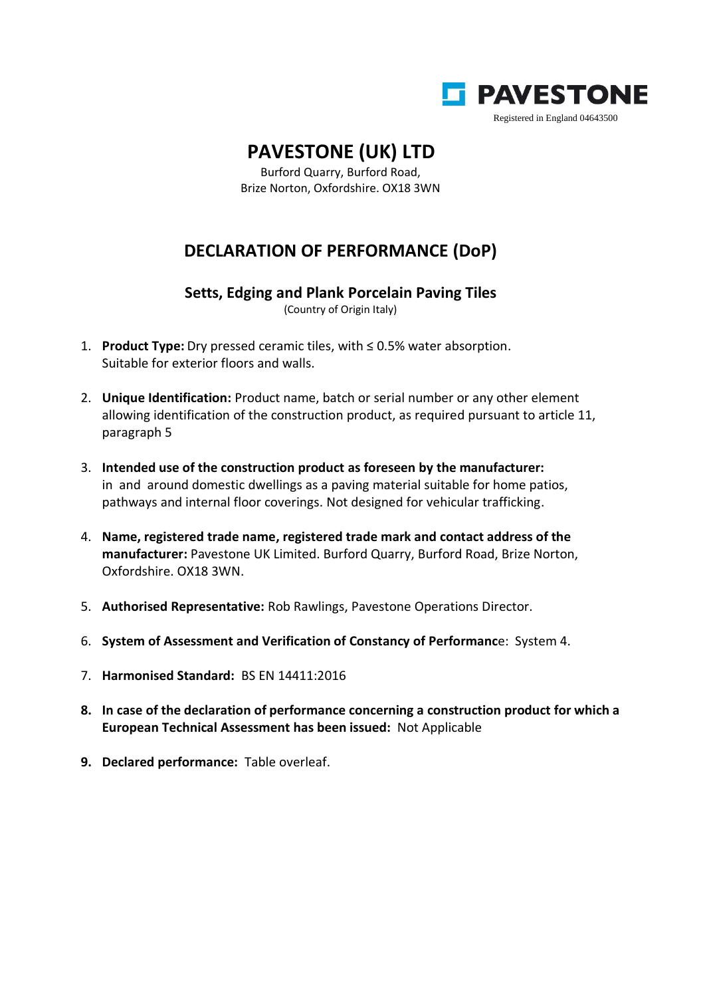

## **PAVESTONE (UK) LTD**

Burford Quarry, Burford Road, Brize Norton, Oxfordshire. OX18 3WN

## **DECLARATION OF PERFORMANCE (DoP)**

**Setts, Edging and Plank Porcelain Paving Tiles**

(Country of Origin Italy)

- 1. **Product Type:** Dry pressed ceramic tiles, with ≤ 0.5% water absorption. Suitable for exterior floors and walls.
- 2. **Unique Identification:** Product name, batch or serial number or any other element allowing identification of the construction product, as required pursuant to article 11, paragraph 5
- 3. **Intended use of the construction product as foreseen by the manufacturer:** in and around domestic dwellings as a paving material suitable for home patios, pathways and internal floor coverings. Not designed for vehicular trafficking.
- 4. **Name, registered trade name, registered trade mark and contact address of the manufacturer:** Pavestone UK Limited. Burford Quarry, Burford Road, Brize Norton, Oxfordshire. OX18 3WN.
- 5. **Authorised Representative:** Rob Rawlings, Pavestone Operations Director.
- 6. **System of Assessment and Verification of Constancy of Performanc**e: System 4.
- 7. **Harmonised Standard:** BS EN 14411:2016
- **8. In case of the declaration of performance concerning a construction product for which a European Technical Assessment has been issued:** Not Applicable
- **9. Declared performance:** Table overleaf.